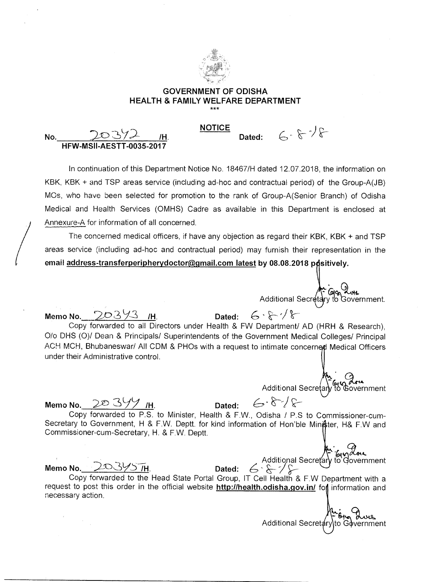

## **GOVERNMENT OF ODISHA HEALTH & FAMILY WELFARE DEPARTMENT**  \*\*\*

**NOTICE** 

**No. J5** )- **/H. HFW-MSII-AESTT-0035-2017** 

In continuation of this Department Notice No. 18467/H dated 12.07.2018, the information on KBK, KBK + and TSP areas service (including ad-hoc and contractual period) of the Group-A(JB) MOs, who have been selected for promotion to the rank of Group-A(Senior Branch) of Odisha Medical and Health Services (OMHS) Cadre as available in this Department is enclosed at Annexure-A for information of all concerned.

The concerned medical officers, if have any objection as regard their KBK, KBK + and TSP areas service (including ad-hoc and contractual period) may furnish their representation in the email address-transferperipherydoctor@gmail.com latest by 08.08.2018 positively.

A Green Additional Secretary to Government.

Dated:  $6.6$ <sup>-18</sup>

**Memo No.**  $203\frac{43}{1}$  **/H.** Dated:  $6 \cdot 6 \cdot \sqrt{8}$ Copy forwarded to all Directors under Health & FW Department/ AD (HRH & Research), 0/o DHS (0)/ Dean & Principals/ Superintendents of the Government Medical Colleges/ Principal ACH MCH, Bhubaneswar/ All CDM & PHOs with a request to intimate concerned Medical Officers under their Administrative control.

 $\begin{matrix} m_1 & q_2 \\ q_1q_2 & q_3 \end{matrix}$ <br>Additional Secretary to Government

**Memo No.** 20 3 Y IH. Dated:

 $6.878$ 

Copy forwarded to P.S. to Minister, Health & F.W., Odisha / P.S to Commissioner-cum-Secretary to Government, H & F.W. Deptt. for kind information of Hon'ble Minister, H& F.W and Commissioner-cum-Secretary, H. & F.W. Deptt.

**Memo No.** 20395 /H. Dated:

**.64** Additional Secre a toovernment Copy forwarded to the Head State Portal Group, IT Cell Health & F.W Department with a request to post this order in the official website **http://health.odisha.gov.in/** fof information and necessary action.

Additional Secretary to Government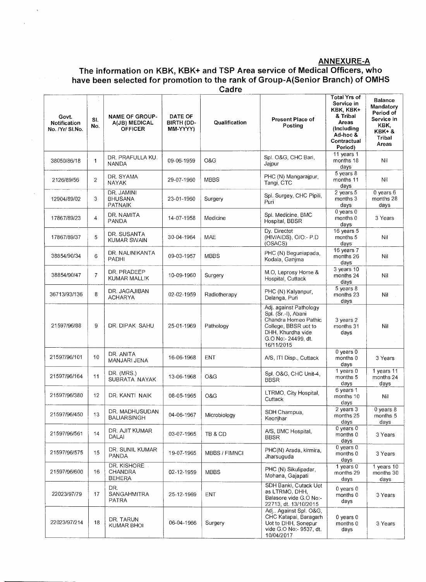## **ANNEXURE-A**

## **The information on KBK, KBK+ and TSP Area service of Medical Officers, who have been selected for promotion to the rank of Group-A(Senior Branch) of OMHS Cadre**

| Govt.<br><b>Notification</b><br>No. /Yr/ SI.No. | SI.<br>No.     | <b>NAME OF GROUP-</b><br>A(JB) MEDICAL<br><b>OFFICER</b> | <b>DATE OF</b><br>BIRTH (DD-<br>MM-YYYY) | Qualification | Present Place of<br>Posting                                                                                                                             | <b>Total Yrs of</b><br>Service in<br>KBK, KBK+<br>& Tribal<br>Areas<br>(Including)<br>Ad-hoc &<br>Contractual<br>Period) | <b>Balance</b><br>Mandatory<br>Period of<br>Service in<br>KBK,<br>$KBK + 8$<br>Tribal<br>Areas |
|-------------------------------------------------|----------------|----------------------------------------------------------|------------------------------------------|---------------|---------------------------------------------------------------------------------------------------------------------------------------------------------|--------------------------------------------------------------------------------------------------------------------------|------------------------------------------------------------------------------------------------|
| 38050/86/18                                     | 1              | DR. PRAFULLA KU.<br><b>NANDA</b>                         | 09-06-1959                               | O&G           | Spl. O&G, CHC Bari,<br>Jajpur                                                                                                                           | 11 years 1<br>months 18<br>days                                                                                          | Nil                                                                                            |
| 2126/89/56                                      | $\mathbf{2}$   | DR. SYAMA<br>NAYAK                                       | 29-07-1960                               | <b>MBBS</b>   | PHC (N) Mangarajpur,<br>Tangi, CTC                                                                                                                      | $5$ years $8$<br>months 11<br>days                                                                                       | Nil                                                                                            |
| 12904/89/02                                     | 3              | DR. JAMINI<br><b>BHUSANA</b><br>PATNAIK                  | 23-01-1960                               | Surgery       | Spl. Surgey, CHC Pipili,<br>Puri                                                                                                                        | 2 years 5<br>months 3<br>days                                                                                            | $0$ years $6$<br>months 28<br>days                                                             |
| 17867/89/23                                     | 4              | DR. NAMITA<br>PANDA                                      | 14-07-1958                               | Medicine      | Spl. Medicine, BMC<br>Hospital, BBSR                                                                                                                    | $0$ years $0$<br>months 0<br>days                                                                                        | 3 Years                                                                                        |
| 17867/89/37                                     | 5              | DR. SUSANTA<br>KUMAR SWAIN                               | 30-04-1964                               | MAE           | Dy. Directot<br>(HIV/AIDS), O/O.- P.D<br>(OSACS)                                                                                                        | 16 years 5<br>months 5<br>days                                                                                           | Nil                                                                                            |
| 38854/90/34                                     | 6              | DR. NALINIKANTA<br>PADHI                                 | 09-03-1957                               | <b>MBBS</b>   | PHC (N) Beguniapada,<br>Kodala, Ganjma                                                                                                                  | 16 years 7<br>months 26<br>days                                                                                          | Nil                                                                                            |
| 38854/90/47                                     | $\overline{7}$ | DR. PRADEEP<br>KUMAR MALLIK                              | 10-09-1960                               | Surgery       | M.O. Leprosy Home &<br>Hospital, Cuttack                                                                                                                | 3 years 10<br>months 24<br>days                                                                                          | Nil                                                                                            |
| 36713/93/136                                    | 8              | DR. JAGAJIBAN<br><b>ACHARYA</b>                          | 02-02-1959                               | Radiotherapy  | PHC (N) Kalyanpur,<br>Delanga, Puri                                                                                                                     | $5$ years $8$<br>months 23<br>days                                                                                       | Nil                                                                                            |
| 21597/96/88                                     | 9              | DR. DIPAK SAHU                                           | 25-01-1969                               | Pathology     | Adj. against Pathology<br>Spl. (Sr.-I), Abani<br>Chandra Homeo Pathic<br>College, BBSR uot to<br>DHH, Khurdha vide<br>G.O No:- 24499, dt.<br>16/11/2015 | 3 years 2<br>months 31<br>days                                                                                           | Nil                                                                                            |
| 21597/96/101                                    | 10             | DR. ANITA<br>MANJARI JENA                                | 16-06-1968                               | ENT           | A/S, ITI Disp., Cuttack                                                                                                                                 | $0$ years $0$<br>months 0<br>days                                                                                        | 3 Years                                                                                        |
| 21597/96/164                                    | 11             | DR. (MRS.)<br>SUBRATA NAYAK                              | 13-06-1968                               | O&G           | Spl. O&G, CHC Unit-4,<br>BBSR                                                                                                                           | 1 years $0$<br>months 5<br>days                                                                                          | 1 years 11<br>months 24<br>days                                                                |
| 21597/96/380                                    | 12             | DR. KANTI NAIK                                           | 08-05-1965                               | O&G           | LTRMO, City Hospital,<br>Cuttack                                                                                                                        | 6 years 1<br>months 10<br>days                                                                                           | Nil                                                                                            |
| 21597/96/450                                    | 13             | DR. MADHUSUDAN<br><b>BALIARSINGH</b>                     | 04-06-1967                               | Microbiology  | SDH Champua,<br>Keonihar                                                                                                                                | 2 years 3<br>months 25<br>days                                                                                           | $0$ years $8$<br>months 5<br>days                                                              |
| 21597/96/561                                    | 14             | DR. AJIT KUMAR<br>DALAI                                  | 03-07-1965                               | TB & CD       | A/S, BMC Hospital,<br>BBSR                                                                                                                              | $0$ years $0$<br>months 0<br>days                                                                                        | 3 Years                                                                                        |
| 21597/96/575                                    | 15             | DR. SUNIL KUMAR<br>PANDA                                 | 19-07-1965                               | MBBS / FIMNCI | PHC(N) Arada, kirmira.<br>Jharsuguda                                                                                                                    | $0$ vears $0$<br>months 0<br>days                                                                                        | 3 Years                                                                                        |
| 21597/96/600                                    | 16             | DR. KISHORE<br>CHANDRA<br><b>BEHERA</b>                  | 02-12-1959                               | <b>MBBS</b>   | PHC (N) Sikulipadar,<br>Mohana, Gajapati                                                                                                                | 1 years $0$<br>months 29<br>days                                                                                         | $1$ years $10$<br>months 30<br>days                                                            |
| 22023/97/79                                     | 17             | DR.<br>SANGAHMITRA<br>PATRA                              | 25-12-1969                               | <b>ENT</b>    | SDH Banki, Cutack Uot<br>as LTRMO, DHH,<br>Balasore vide G.O No:-<br>22713, dt. 13/10/2015                                                              | $0$ years $0$<br>months 0<br>days                                                                                        | 3 Years                                                                                        |
| 22023/97/214                                    | 18             | DR. TARUN<br>KUMAR BHOI                                  | 06-04-1966                               | Surgery       | Adj Against Spl. O&G,<br>CHC Katapai, Baragarh<br>Uot to DHH, Sonepur<br>vide G.O No:- 9537, dt.<br>10/04/2017                                          | $0$ years $0$<br>months 0<br>days                                                                                        | 3 Years                                                                                        |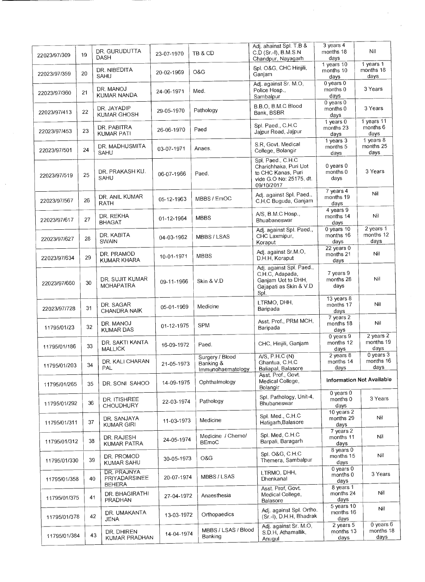|              |    |                                               |            |                                                   | Adj. ahainst Spl. T.B &                                                                                   | 3 years 4                                  |                                    |
|--------------|----|-----------------------------------------------|------------|---------------------------------------------------|-----------------------------------------------------------------------------------------------------------|--------------------------------------------|------------------------------------|
| 22023/97/309 | 19 | DR. GURUDUTTA<br><b>DASH</b>                  | 23-07-1970 | TB & CD                                           | C.D (Sr.-I), B.M.S.N<br>Chandpur, Nayagarh                                                                | months 18<br>days                          | Nil                                |
| 22023/97/359 | 20 | DR. NIBEDITA<br><b>SAHU</b>                   | 20-02-1969 | O&G                                               | Spl. O&G, CHC Hinjili,<br>Ganjam                                                                          | $1$ years $10$<br>months 10<br>days        | 1 years 1<br>months 18<br>days     |
| 22023/97/360 | 21 | DR. MANOJ<br>KUMAR NANDA                      | 24-06-1971 | Med.                                              | Adj. against Sr. M.O.<br>Police Hosp.,<br>Sambalpur                                                       | $0$ years $0$<br>months 0<br>days          | 3 Years                            |
| 22023/97/413 | 22 | DR. JAYADIP<br>KUMAR GHOSH                    | 29-05-1970 | Pathology                                         | B.B.O, B.M.C Blood<br>Bank, BSBR                                                                          | $0$ years $0$<br>months 0<br>days          | 3 Years                            |
| 22023/97/453 | 23 | DR. PABITRA<br>KUMAR PATI                     | 26-06-1970 | Paed                                              | Spl. Paed., C.H.C<br>Jajpur Road, Jajpur                                                                  | 1 years 0<br>months 23<br>days             | 1 years 11<br>months 6<br>days     |
| 22023/97/501 | 24 | DR. MADHUSMITA<br><b>SAHU</b>                 | 03-07-1971 | Anaes.                                            | S.R. Govt. Medical<br>College, Bolangir                                                                   | 1 years 3<br>months 5<br>days              | 1 years 8<br>months 25<br>days     |
| 22023/97/519 | 25 | DR. PRAKASH KU.<br>SAHU                       | 06-07-1966 | Paed.                                             | Spl. Paed., C.H.C<br>Charichhaka, Puri Uot<br>to CHC Kanas, Puri<br>vide G.O No: 25175, dt.<br>09/10/2017 | $0$ years $0$<br>months 0<br>days          | 3 Years                            |
| 22023/97/567 | 26 | DR. ANIL KUMAR<br><b>RATH</b>                 | 05-12-1963 | MBBS / EmOC                                       | Adj. against Spl. Paed.,<br>C.H.C Buguda, Ganjam                                                          | 7 years 4<br>months 19<br>days             | Nil                                |
| 22023/97/617 | 27 | DR. REKHA<br><b>BHAGAT</b>                    | 01-12-1964 | <b>MBBS</b>                                       | A/S, B.M.C Hosp.,<br>Bhuabaneswar                                                                         | 4 years 9<br>months 14<br>days             | Nil                                |
| 22023/97/627 | 28 | DR. KABITA<br><b>SWAIN</b>                    | 04-03-1962 | MBBS / LSAS                                       | Adj. against Spl. Paed.,<br>CHC Laxmipur,<br>Koraput                                                      | $0$ years $10$<br>months 16<br>days        | 2 years 1<br>months 12<br>days     |
| 22023/97/634 | 29 | DR. PRAMOD<br>KUMAR KHARA                     | 10-01-1971 | <b>MBBS</b>                                       | Adj. against Sr.M.O,<br>D.H.H, Koraput                                                                    | 22 years 0<br>months 21<br>days            | Nil                                |
| 22023/97/660 | 30 | DR. SUJIT KUMAR<br><b>MOHAPATRA</b>           | 09-11-1966 | Skin & V.D                                        | Adj. against Spl. Paed.,<br>C.H.C, Adapada,<br>Ganjam Uot to DHH,<br>Gajapati as Skin & V.D<br>Spl.       | 7 years 9<br>months 28<br>days             | Nil                                |
| 22023/97/728 | 31 | DR. SAGAR<br>CHANDRA NAIK                     | 05-01-1969 | Medicine                                          | LTRMO, DHH,<br>Baripada                                                                                   | 13 years 8<br>months 17<br>days            | Nil                                |
| 11795/01/23  | 32 | DR. MANOJ<br><b>KUMAR DAS</b>                 | 01-12-1975 | <b>SPM</b>                                        | Asst. Prof., PRM MCH,<br>Baripada                                                                         | $\frac{1}{7}$ years 2<br>months 18<br>days | Nil                                |
| 11795/01/186 | 33 | DR. SAKTI KANTA<br><b>MALLICK</b>             | 16-09-1972 | Paed.                                             | CHC, Hinjili, Ganjam                                                                                      | 0 years 9<br>months 12<br>days             | 2 years 2<br>months 19<br>days     |
| 11795/01/203 | 34 | DR. KALI CHARAN<br><b>PAL</b>                 | 21-05-1973 | Surgery / Blood<br>Banking &<br>Immunohaematology | A/S, P.H.C (N)<br>Ghantua, C.H.C.<br>Baliapal, Balasore                                                   | 2 years 8<br>months 14<br>days             | $0$ years $3$<br>months 16<br>days |
| 11795/01/265 | 35 | DR. SONI SAHOO                                | 14-09-1975 | Ophthalmology                                     | Asst. Prof., Govt.<br>Medical College,<br>Bolangir                                                        |                                            | <b>Information Not Available</b>   |
| 11795/01/292 | 36 | DR. ITISHREE<br><b>CHOUDHURY</b>              | 22-03-1974 | Pathology                                         | Spl. Pathology, Unit-4,<br>Bhubaneswar                                                                    | $0$ years $0$<br>months 0<br>days          | 3 Years                            |
| 11795/01/311 | 37 | DR. SANJAYA<br><b>KUMAR GIRI</b>              | 11-03-1973 | Medicine                                          | Spl. Med., C.H.C<br>Hatigarh, Balasore                                                                    | 10 years 2<br>months 29<br>days            | Nil                                |
| 11795/01/312 | 38 | DR. RAJESH<br><b>KUMAR PATRA</b>              | 24-05-1974 | Medicine / Chemo/<br><b>BEmoC</b>                 | Spl. Med, C.H.C<br>Barpali, Baragarh                                                                      | 7 years 2<br>months 11<br>days             | Nil                                |
| 11795/01/330 | 39 | DR. PROMOD<br>KUMAR SAHU                      | 30-05-1973 | O&G                                               | Spl. O&G, C.H.C<br>Themera, Sambalpur                                                                     | 8 years 0<br>months 15<br>days             | Nil                                |
| 11795/01/358 | 40 | DR. PRAJNYA<br>PRIYADARSINEE<br><b>BEHERA</b> | 20-07-1974 | MBBS / LSAS                                       | LTRMO, DHH,<br>Dhenkanal                                                                                  | $0$ years $0$<br>months 0<br>days          | 3 Years                            |
| 11795/01/375 | 41 | DR. BHAGIRATHI<br>PRADHAN                     | 27-04-1972 | Anaesthesia                                       | Asst. Prof, Govt.<br>Medical College,<br>Balasore                                                         | 8 years 1<br>months 24<br>days             | Nil                                |
| 11795/01/378 | 42 | DR. UMAKANTA<br>JENA                          | 13-03-1972 | Orthopaedics                                      | Adj. against Spl. Ortho.<br>(Sr.-I), D.H.H, Bhadrak                                                       | 5 years 10<br>months 16<br>days            | Nil                                |
| 11795/01/384 | 43 | DR. DHIREN<br>KUMAR PRADHAN                   | 14-04-1974 | MBBS / LSAS / Blood<br>Banking                    | Adj. against Sr. M.O,<br>S.D.H. Athamallik,<br>Anugul                                                     | 2 years 5<br>months 13<br>days             | $0$ years $6$<br>months 18<br>days |
|              |    |                                               |            |                                                   |                                                                                                           |                                            |                                    |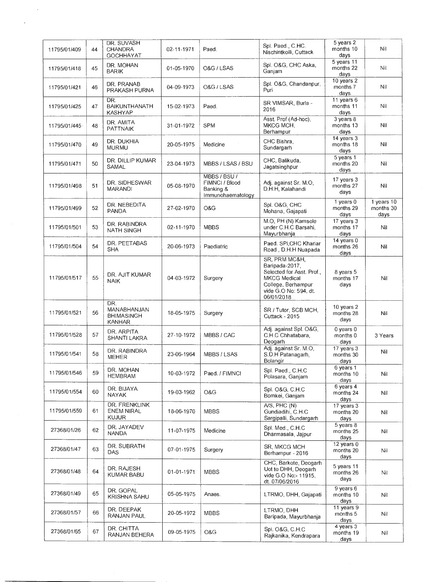| 11795/01/409 | 44 | DR. SUVASH<br><b>CHANDRA</b><br><b>GOCHHAYAT</b>         | 02-11-1971 | Paed.                                                            | Spl. Paed., C.HC.<br>Nischintkoili, Cuttack                                                                                                      | 5 years 2<br>months 10<br>days      | Nil                             |
|--------------|----|----------------------------------------------------------|------------|------------------------------------------------------------------|--------------------------------------------------------------------------------------------------------------------------------------------------|-------------------------------------|---------------------------------|
| 11795/01/418 | 45 | DR. MOHAN<br><b>BARIK</b>                                | 01-05-1970 | O&G / LSAS                                                       | Spl. O&G, CHC Aska,<br>Ganjam                                                                                                                    | 5 years 11<br>months 22<br>days     | Nil                             |
| 11795/01/421 | 46 | DR. PRANAB<br>PRAKASH PURNA                              | 04-09-1973 | O&G / LSAS                                                       | Spl. O&G, Chandanpur,<br>Puri                                                                                                                    | 10 years 2<br>months 7<br>days      | Nil                             |
| 11795/01/425 | 47 | DR.<br><b>BAIKUNTHANATH</b><br><b>KASHYAP</b>            | 15-02-1973 | Paed.                                                            | SR VIMSAR, Burla -<br>2016                                                                                                                       | 11 years 6<br>months 11<br>days     | Nil                             |
| 11795/01/445 | 48 | DR. AMITA<br>PATTNAIK                                    | 31-01-1972 | SPM                                                              | Asst. Prof (Ad-hoc),<br>MKCG MCH,<br>Berhampur                                                                                                   | 3 years 8<br>months 13<br>days      | Nil                             |
| 11795/01/470 | 49 | DR. DUKHIA<br><b>MURMU</b>                               | 20-05-1975 | Medicine                                                         | CHC Bishra,<br>Sundargarh                                                                                                                        | 14 years 3<br>months 18<br>days     | Nil                             |
| 11795/01/471 | 50 | DR. DILLIP KUMAR<br>SAMAL                                | 23-04-1973 | MBBS / LSAS / BSU                                                | CHC, Balikuda,<br>Jagatsinghpur                                                                                                                  | 5 years 1<br>months 20<br>days      | Nil                             |
| 11795/01/498 | 51 | DR. SIDHESWAR<br><b>MARANDI</b>                          | 05-08-1970 | MBBS / BSU /<br>FIMNCI / Blood<br>Banking &<br>Immunohaematology | Adj. against Sr. M.O,<br>D.H.H, Kalahandi                                                                                                        | 17 years 3<br>months 27<br>days     | Nil                             |
| 11795/01/499 | 52 | DR. NEBEDITA<br>PANDA                                    | 27-02-1970 | O&G                                                              | Spl. O&G, CHC<br>Mohana, Gajapati                                                                                                                | 1 years $0$<br>months 29<br>days    | 1 years 10<br>months 30<br>days |
| 11795/01/501 | 53 | DR. RABINDRA<br><b>NATH SINGH</b>                        | 02-11-1970 | <b>MBBS</b>                                                      | M.O, PH (N) Kamsole<br>under C.H.C Barsahi,<br>Mayurbhanja                                                                                       | 17 years 3<br>months 17<br>days     | Nil                             |
| 11795/01/504 | 54 | DR. PEETABAS<br><b>SHA</b>                               | 20-06-1973 | Paediatric                                                       | Paed. SPI, CHC Khariar<br>Road, D.H.H Nuapada                                                                                                    | $14$ years $0$<br>months 26<br>days | Nil                             |
| 11795/01/517 | 55 | DR. AJIT KUMAR<br><b>NAIK</b>                            | 04-03-1972 | Surgery                                                          | SR, PRM MC&H,<br>Baripada-2017,<br>Selected for Asst. Prof.,<br><b>MKCG Medical</b><br>College, Berhampur<br>vide G.O No: 594, dt.<br>06/01/2018 | 8 years 5<br>months 17<br>days      | Nil                             |
| 11795/01/521 | 56 | DR.<br>MANABHANJAN<br><b>BHIMASINGH</b><br><b>KANHAR</b> | 18-05-1975 | Surgery                                                          | SR / Tutor, SCB MCH,<br>Cuttack - 2015                                                                                                           | 10 years 2<br>months 28<br>days     | Nil                             |
| 11795/01/528 | 57 | DR. ARPITA<br>SHANTI LAKRA                               | 27-10-1972 | MBBS / CAC                                                       | Adj. against Spl. O&G.<br>C.H.C Chhatabara,<br>Deogarh                                                                                           | $0$ years $0$<br>months 0<br>days   | 3 Years                         |
| 11795/01/541 | 58 | DR. RABINDRA<br><b>MEHER</b>                             | 23-06-1964 | MBBS / LSAS                                                      | Adj. against Sr. M.O,<br>S.D.H Patanagarh,<br>Bolangir                                                                                           | 17 years 3<br>months 30<br>days     | Nil                             |
| 11795/01/546 | 59 | DR. MOHAN<br><b>HEMBRAM</b>                              | 10-03-1972 | Paed. / FIMNCI                                                   | Spl. Paed., C.H.C<br>Polasara, Ganjam                                                                                                            | 6 years 1<br>months 10<br>days      | Nil                             |
| 11795/01/554 | 60 | DR. BIJAYA<br><b>NAYAK</b>                               | 19-03-1962 | O&G                                                              | Spl. O&G, C.H.C<br>Bomkei, Ganjam                                                                                                                | 6 years 4<br>months 24<br>days      | Nil                             |
| 11795/01/559 | 61 | DR. FRENKLINK<br><b>ENEM NIRAL</b><br><b>KUJUR</b>       | 18-06-1970 | <b>MBBS</b>                                                      | A/S, PHC (N)<br>Gundiadihi, C.H.C<br>Sargipalli, Sundargarh                                                                                      | 17 years 3<br>months 20<br>days     | Nil                             |
| 27368/01/26  | 62 | DR. JAYADEV<br><b>NANDA</b>                              | 11-07-1975 | Medicine                                                         | Spl. Med., C.H.C<br>Dharmasala, Jajpur                                                                                                           | $5$ years $8$<br>months 25<br>days  | Nil                             |
| 27368/01/47  | 63 | DR. SUBRATH<br>DAS.                                      | 07-01-1975 | Surgery                                                          | SR, MKCG MCH<br>Berhampur - 2016                                                                                                                 | 12 years 0<br>months 20<br>days     | Nil                             |
| 27368/01/48  | 64 | DR. RAJESH<br><b>KUMAR BABU</b>                          | 01-01-1971 | <b>MBBS</b>                                                      | CHC, Barkote, Deogarh<br>Uot to DHH, Deogarh<br>vide G.O No:- 11915,<br>dt. 07/06/2016                                                           | 5 years 11<br>months 26<br>days     | Nil                             |
| 27368/01/49  | 65 | DR. GOPAL<br><b>KRISHNA SAHU</b>                         | 05-05-1975 | Anaes.                                                           | LTRMO, DHH, Gajapati                                                                                                                             | $9$ years $6$<br>months 10<br>days  | Nil                             |
| 27368/01/57  | 66 | DR. DEEPAK<br>RANJAN PAUL                                | 20-05-1972 | <b>MBBS</b>                                                      | LTRMO, DHH<br>Baripada, Mayurbhanja                                                                                                              | 11 years 9<br>months 5<br>days      | Nil                             |
| 27368/01/65  | 67 | DR. CHITTA<br>RANJAN BEHERA                              | 09-05-1975 | O&G                                                              | Spl. O&G, C.H.C<br>Rajkanika, Kendrapara                                                                                                         | 4 years 3<br>months 19<br>days      | Nil                             |

 $\overline{\phantom{a}}$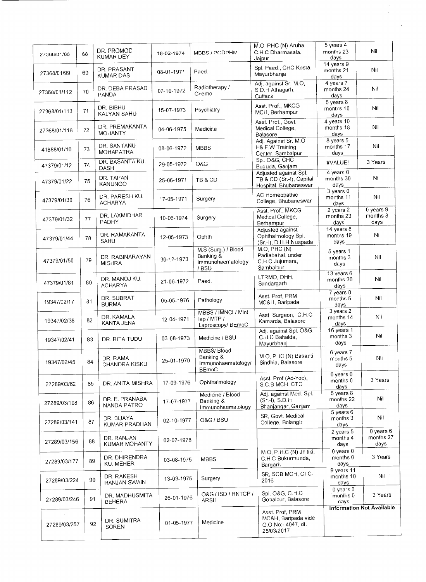|              |    |                                  |            |                                                                | M.O, PHC (N) Aruha,                                                        | 5 years 4                           |                                    |
|--------------|----|----------------------------------|------------|----------------------------------------------------------------|----------------------------------------------------------------------------|-------------------------------------|------------------------------------|
| 27368/01/86  | 68 | DR. PROMOD<br>KUMAR DEY          | 18-02-1974 | MBBS / PGDPHM                                                  | C.H.C Dharmasala,<br>Jajpur                                                | months 23<br>days                   | Nil                                |
| 27368/01/99  | 69 | DR. PRASANT<br><b>KUMAR DAS</b>  | 08-01-1971 | Paed.                                                          | Spl. Paed., CHC Kosta,<br>Mayurbhanja                                      | 14 years 9<br>months 21<br>days     | Nil                                |
| 27368/01/112 | 70 | DR. DEBA PRASAD<br><b>PANDA</b>  | 07-10-1972 | Radiotherapy /<br>Chemo                                        | Adj. against Sr. M.O.<br>S.D.H Athagarh,<br>Cuttack                        | 4 years 7<br>months 24<br>days      | Nil                                |
| 27368/01/113 | 71 | DR. BIBHU<br>KALYAN SAHU         | 15-07-1973 | Psychiatry                                                     | Asst. Prof., MKCG<br>MCH, Berhampur                                        | 5 years 8<br>months 10<br>days      | Nil                                |
| 27368/01/116 | 72 | DR. PREMAKANTA<br><b>MOHANTY</b> | 04-06-1975 | Medicine                                                       | Asst. Prof., Govt.<br>Medical College,<br>Balasore                         | $4$ years $10$<br>months 18<br>days | Nil                                |
| 41888/01/10  | 73 | DR. SANTANU<br><b>MOHAPATRA</b>  | 08-06-1972 | <b>MBBS</b>                                                    | Adj. Against Sr. M.O.<br>H& F.W Training<br>Center, Sambalpur              | 8 years 5<br>months 17<br>days      | Nil                                |
| 47379/01/12  | 74 | DR. BASANTA KU.<br><b>DASH</b>   | 29-05-1972 | O&G                                                            | Spl. O&G, CHC<br>Buguda, Ganjam                                            | #VALUE!                             | 3 Years                            |
| 47379/01/22  | 75 | DR. TAPAN<br><b>KANUNGO</b>      | 25-06-1971 | TB & CD                                                        | Adjusted against Spl.<br>TB & CD (Sr.-I), Capital<br>Hospital, Bhubaneswar | $4$ years $0$<br>months 30<br>days  | Nil                                |
| 47379/01/30  | 76 | DR. PARESH KU.<br><b>ACHARYA</b> | 17-05-1971 | Surgery                                                        | AC Homeopathic<br>College, Bhubaneswar                                     | $3$ years $0$<br>months 11<br>days  | Nil                                |
| 47379/01/32  | 77 | DR. LAXMIDHAR<br><b>PADHY</b>    | 10-06-1974 | Surgery                                                        | Asst. Prof., MKCG<br>Medical College,<br>Berhampur                         | 2 years 2<br>months 23<br>days      | 0 years 9<br>months 8<br>days      |
| 47379/01/44  | 78 | DR. RAMAKANTA<br>SAHU            | 12-05-1973 | Ophth                                                          | Adjusted against<br>Ophthalmology Spl.<br>(Sr.-I), D.H.H Nuapada           | 14 years 8<br>months 19<br>days     | Nil                                |
| 47379/01/50  | 79 | DR. RABINARAYAN<br><b>MISHRA</b> | 30-12-1973 | M.S (Surg.) / Blood<br>Banking &<br>Immunohaematology<br>/ BSU | M.O, PHC (N)<br>Padiabahal, under<br>C.H.C Jujumara,<br>Sambalpur          | 5 years 1<br>months 3<br>days       | $\mathcal{L}^{\pm}$<br>Nil         |
| 47379/01/81  | 80 | DR. MANOJ KU.<br><b>ACHARYA</b>  | 21-06-1972 | Paed.                                                          | LTRMO, DHH,<br>Sundargarh                                                  | 13 years 6<br>months 30<br>days     | Nil                                |
| 19347/02/17  | 81 | DR. SUBRAT<br><b>BURMA</b>       | 05-05-1976 | Pathology                                                      | Asst. Prof, PRM<br>MC&H, Baripada                                          | $7$ years $8$<br>months 5<br>days   | Nil                                |
| 19347/02/38  | 82 | DR. KAMALA<br>KANTA JENA         | 12-04-1971 | MBBS / IMNCI / Mini<br>lap / MTP /<br>Laproscopy/ BEmoC        | Asst. Surgeon, C.H.C<br>Kamarda, Balasore                                  | 3 years 2<br>months 14<br>days      | Nil                                |
| 19347/02/41  | 83 | DR. RITA TUDU                    | 03-08-1973 | Medicine / BSU                                                 | Adj. against Spl. O&G,<br>C.H.C Bahalda,<br>Mayurbhanj                     | 16 years 1<br>months 3<br>days      | Nil                                |
| 19347/02/45  | 84 | DR. RAMA<br>CHANDRA KISKU        | 25-01-1970 | MBBS/ Blood<br>Banking &<br>Immunohaematology/<br><b>BEmoC</b> | M.O, PHC (N) Basanti<br>Sindhia, Balasore                                  | 6 years 7<br>months 5<br>days       | Nil                                |
| 27289/03/62  | 85 | DR. ANITA MISHRA                 | 17-09-1976 | Ophthalmology                                                  | Asst. Prof (Ad-hoc),<br>S.C.B MCH, CTC                                     | $0$ years $0$<br>months 0<br>days   | 3 Years                            |
| 27289/03/108 | 86 | DR. E. PRANABA<br>NANDA PATRO    | 17-07-1977 | Medicine / Blood<br>Banking &<br>Immunohaematology             | Adj. against Med. Spl.<br>$(Sr.-i), S.D.H$<br>Bhanjangar, Ganjam           | 5 years 8<br>months 22<br>days      | Nil                                |
| 27289/03/141 | 87 | DR. BIJAYA<br>KUMAR PRADHAN      | 02-10-1977 | O&G / BSU                                                      | SR, Govt. Medical<br>College, Bolangir                                     | 5 years 6<br>months 3<br>days       | Nil                                |
| 27289/03/156 | 88 | DR. RANJAN<br>KUMAR MOHANTY      | 02-07-1978 |                                                                |                                                                            | 2 years 5<br>months 4<br>days       | $0$ years $6$<br>months 27<br>days |
| 27289/03/177 | 89 | DR. DHIRENDRA<br>KU. MEHER       | 03-08-1975 | <b>MBBS</b>                                                    | M.O, P.H.C (N) Jhitiki,<br>C.H.C Bukurmunda,<br>Bargarh                    | $0$ years $0$<br>months 0<br>days   | 3 Years                            |
| 27289/03/224 | 90 | DR, RAKESH<br>RANJAN SWAIN       | 13-03-1975 | Surgery                                                        | SR, SCB MCH, CTC-<br>2016                                                  | 9 years 11<br>months 10<br>days     | Nil                                |
| 27289/03/246 | 91 | DR. MADHUSMITA<br><b>BEHERA</b>  | 26-01-1976 | O&G / ISD / RNTCP /<br>ARSH                                    | Spl. O&G, C.H.C<br>Gopalpur, Balasore                                      | $0$ years $0$<br>months 0<br>days   | 3 Years                            |
| 27289/03/257 | 92 | DR. SUMITRA<br><b>SOREN</b>      | 01-05-1977 | Medicine                                                       | Asst. Prof, PRM<br>MC&H, Baripada vide<br>G.O No:- 4047, dt.<br>25/03/2017 |                                     | <b>Information Not Available</b>   |

 $\sim$   $\sim$ 

 $\label{eq:2.1} \frac{1}{\sqrt{2\pi}}\int_{0}^{\infty} \frac{1}{\sqrt{2\pi}}\left(\frac{1}{\sqrt{2\pi}}\right)^{2\sqrt{2}}\frac{1}{\sqrt{2\pi}}\int_{0}^{\infty} \frac{1}{\sqrt{2\pi}}\int_{0}^{\infty} \frac{1}{\sqrt{2\pi}}\frac{1}{\sqrt{2\pi}}\frac{1}{\sqrt{2\pi}}\int_{0}^{\infty} \frac{1}{\sqrt{2\pi}}\frac{1}{\sqrt{2\pi}}\frac{1}{\sqrt{2\pi}}\frac{1}{\sqrt{2\pi}}\frac{1}{\sqrt{2\pi}}\int_{$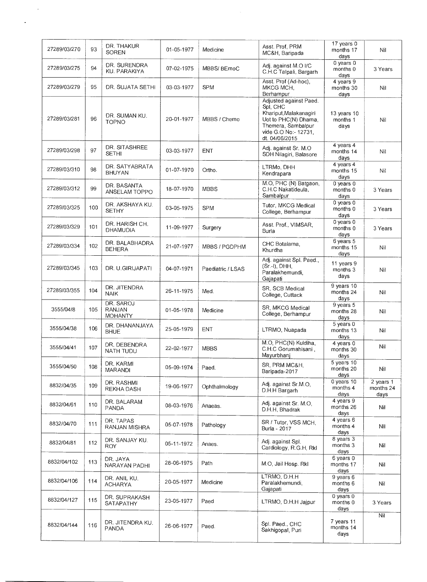| 27289/03/270 | 93  | DR. THAKUR<br><b>SOREN</b>            | 01-05-1977 | Medicine          | Asst. Prof, PRM<br>MC&H, Baripada                                                                                                                    | 17 years 0<br>months 17<br>days     | Nil                            |
|--------------|-----|---------------------------------------|------------|-------------------|------------------------------------------------------------------------------------------------------------------------------------------------------|-------------------------------------|--------------------------------|
| 27289/03/275 | 94  | DR. SURENDRA<br>KU. PARAKIYA          | 07-02-1975 | MBBS/ BEmoC       | Adj. against M.O I/C<br>C.H.C Talpali, Bargarh                                                                                                       | $0$ years $0$<br>months 0<br>days   | 3 Years                        |
| 27289/03/279 | 95  | DR. SUJATA SETHI                      | 03-03-1977 | <b>SPM</b>        | Asst. Prof (Ad-hoc),<br>MKCG MCH,<br>Berhampur                                                                                                       | 4 years 9<br>months 30<br>days      | Nil                            |
| 27289/03/281 | 96  | DR. SUMAN KU.<br><b>TOPNO</b>         | 20-01-1977 | MBBS / Chemo      | Adjusted against Paed.<br>Spl, CHC<br>Khariput, Malakanagiri<br>Uot to PHC(N) Dhama,<br>Themera, Sambalpur<br>vide G.O No:- 12731,<br>dt. 04/06/2015 | 13 years 10<br>months 1<br>days     | Nil                            |
| 27289/03/298 | 97  | DR. SITASHREE<br><b>SETHI</b>         | 03-03-1977 | <b>ENT</b>        | Adj. against Sr. M.O<br>SDH Nilagiri, Balasore                                                                                                       | 4 years 4<br>months 14<br>days      | Nil                            |
| 27289/03/310 | 98  | DR. SATYABRATA<br><b>BHUYAN</b>       | 01-07-1970 | Ortho.            | LTRMo, DHH<br>Kendrapara                                                                                                                             | 4 years 4<br>months 15<br>days      | Nil                            |
| 27289/03/312 | 99  | DR. BASANTA<br>ANSELAM TOPPO          | 18-07-1970 | <b>MBBS</b>       | M.O, PHC (N) Batgaon,<br>C.H.C Nakatideula,<br>Sambalpur                                                                                             | $0$ years $0$<br>months 0<br>days   | 3 Years                        |
| 27289/03/325 | 100 | DR. AKSHAYA KU.<br><b>SETHY</b>       | 03-05-1975 | <b>SPM</b>        | Tutor, MKCG Medical<br>College, Berhampur                                                                                                            | 0 years 0<br>months 0<br>days       | 3 Years                        |
| 27289/03/329 | 101 | DR. HARISH CH.<br>DHAMUDIA            | 11-09-1977 | Surgery           | Asst. Prof., VIMSAR,<br>Burla                                                                                                                        | 0 years $0$<br>months 0<br>days     | 3 Years                        |
| 27289/03/334 | 102 | DR. BALABHADRA<br><b>BEHERA</b>       | 21-07-1977 | MBBS / PGDPHM     | CHC Botalama,<br>Khurdha                                                                                                                             | 6 years 5<br>months 15<br>days      | Nil                            |
| 27289/03/345 | 103 | DR. U.GIRIJAPATI                      | 04-07-1971 | Paediatric / LSAS | Adj. against Spl. Paed.,<br>$(Sr.-I), DHH,$<br>Paralakhemundi,<br>Gajapati                                                                           | 11 years 9<br>months 3<br>days      | Nil                            |
| 27289/03/355 | 104 | DR. JITENDRA<br><b>NAIK</b>           | 26-11-1975 | Med.              | SR, SCB Medical<br>College, Cuttack                                                                                                                  | $9$ years $10$<br>months 24<br>days | Nil                            |
| 3555/04/8    | 105 | DR. SAROJ<br>RANJAN<br><b>MOHANTY</b> | 01-05-1978 | Medicine          | SR, MKCG Medical<br>College, Berhampur                                                                                                               | $9$ years $5$<br>months 28<br>days  | Nil                            |
| 3555/04/38   | 106 | DR. DHANANJAYA<br><b>BHUE</b>         | 25-05-1979 | <b>ENT</b>        | LTRMO, Nuapada                                                                                                                                       | 5 years 0<br>months 13<br>days      | Nil                            |
| 3555/04/41   | 107 | DR. DEBENDRA<br>NATH TUDU             | 22-02-1977 | <b>MBBS</b>       | M.O, PHC(N) Kuldiha,<br>C.H.C Gorumahisani,<br>Mayurbhani                                                                                            | 4 years 0<br>months 30<br>days      | Nil                            |
| 3555/04/50   | 108 | DR. KARMI<br><b>MARANDI</b>           | 05-09-1974 | Paed.             | SR, PRM MC&H,<br>Baripada-2017                                                                                                                       | $5$ years $10$<br>months 20<br>days | Nil                            |
| 8832/04/35   | 109 | DR. RASHMI<br>REKHA DASH              | 19-06-1977 | Ophthalmology     | Adj. against Sr.M.O.<br>D.H.H Bargarh                                                                                                                | 0 years 10<br>months 4<br>days      | 2 years 1<br>months 24<br>days |
| 8832/04/61   | 110 | DR. BALARAM<br><b>PANDA</b>           | 08-03-1976 | Anaeas.           | Adj. against Sr. M.O.<br>D.H.H, Bhadrak                                                                                                              | 4 years 9<br>months 26<br>days      | Nil                            |
| 8832/04/70   | 111 | DR. TAPAS<br>RANJAN MISHRA            | 05-07-1978 | Pathology         | SR / Tutor, VSS MCH,<br>Burla - 2017                                                                                                                 | 4 years 6<br>months 4<br>days       | Nil                            |
| 8832/04/81   | 112 | DR. SANJAY KU.<br><b>ROY</b>          | 05-11-1972 | Anaes.            | Adj. against Spl.<br>Cardiology, R.G.H, RkI                                                                                                          | $8$ years $3$<br>months 3<br>days   | Nil                            |
| 8832/04/102  | 113 | DR. JAYA<br>NARAYAN PADHI             | 28-06-1975 | Path              | M.O, Jail Hosp. Rkl                                                                                                                                  | 6 years 0<br>months 17<br>days      | Nil                            |
| 8832/04/106  | 114 | DR. ANIL KU.<br><b>ACHARYA</b>        | 20-05-1977 | Medicine          | LTRMO, D.H.H<br>Paralakhemundi,<br>Gajapati                                                                                                          | $9$ years $6$<br>months 6<br>days   | Nil                            |
| 8832/04/127  | 115 | DR. SUPRAKASH<br>SATAPATHY            | 23-05-1977 | Paed              | LTRMO, D.H.H Jajpur                                                                                                                                  | $0$ years $0$<br>months 0<br>days   | 3 Years                        |
| 8832/04/144  | 116 | DR. JITENDRA KU.<br><b>PANDA</b>      | 26-06-1977 | Paed.             | Spl. Paed., CHC<br>Sakhigopal, Puri                                                                                                                  | 7 years 11<br>months 14<br>days     | Nil                            |

 $\sim 10^{-1}$ 

 $\ddot{\phantom{1}}$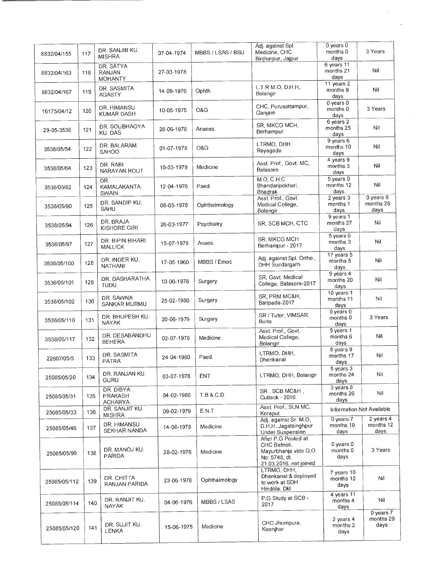|              |     | DR. SANJIB KU.                                |            |                   | Adj. against Spl.                                                                                      | $0$ years $0$                      |                                    |
|--------------|-----|-----------------------------------------------|------------|-------------------|--------------------------------------------------------------------------------------------------------|------------------------------------|------------------------------------|
| 8832/04/155  | 117 | <b>MISHRA</b>                                 | 07-04-1974 | MBBS / LSAS / BSU | Medicine, CHC<br>Binjharpur, Jajpur                                                                    | months 0<br>days                   | 3 Years                            |
| 8832/04/163  | 118 | DR. SATYA<br>RANJAN<br><b>MOHANTY</b>         | 27-03-1978 |                   |                                                                                                        | 6 years 11<br>months 21<br>days    | Nil                                |
| 8832/04/167  | 119 | DR. SASMITA<br><b>AGASTY</b>                  | 14-09-1976 | Ophth             | L.T.R M.O, D.H.H,<br>Bolangir                                                                          | 11 years 2<br>months 9<br>days     | Nil                                |
| 16175/04/12  | 120 | DR. HIMANSU<br>KUMAR DASH                     | 10-05-1975 | O&G               | CHC, Purusottampur,<br>Ganjam                                                                          | $0$ years $0$<br>months 0<br>days  | 3 Years                            |
| 29-05-3538   | 121 | DR. SOUBHAGYA<br>KU. DAS                      | 28-06-1978 | Anaeas.           | SR, MKCG MCH,<br>Berhampur                                                                             | 6 years 2<br>months 25<br>days     | Nil                                |
| 3538/05/54   | 122 | DR. BALARAM<br>SAHOO                          | 01-07-1978 | O&G               | LTRMO, DHH<br>Rayagada                                                                                 | 9 years 6<br>months 10<br>days     | Nil                                |
| 3538/05/64   | 123 | DR. RABI<br>NARAYAN ROUT                      | 10-03-1979 | Medicine          | Asst. Prof., Govt. MC,<br><b>Balasore</b>                                                              | 4 years 9<br>months 3<br>days      | Nil                                |
| 3538/05/82   | 124 | DR.<br>KAMALAKANTA<br><b>SWAIN</b>            | 12-04-1976 | Paed.             | M.O, C.H.C<br>Bhandaripokhari,<br>Bhadrak                                                              | 5 years 0<br>months 12<br>days     | Nil                                |
| 3538/05/90   | 125 | DR. SANDIP KU.<br>SAHU                        | 08-05-1978 | Ophthalmology     | Asst. Prof., Govt.<br>Medical College,<br>Bolangir                                                     | 2 years 3<br>months 1<br>days      | 0 years 8<br>months 29<br>days     |
| 3538/05/94   | 126 | DR. BRAJA<br>KISHORE GIRI                     | 26-03-1977 | Psychiatry        | SR, SCB MCH, CTC                                                                                       | 9 years 1<br>months 27<br>days     | Nil                                |
| 3538/05/97   | 127 | DR. BIPIN BIHARI<br><b>MALLICK</b>            | 15-07-1978 | Anaes.            | SR. MKCG MCH<br>Berhampur - 2017                                                                       | 5 years 0<br>months 3<br>days      | Nil                                |
| 3538/05/100  | 128 | DR. INDER KU.<br>NATHANI                      | 17-05-1960 | MBBS / Emoc       | Adj. against Spl. Ortho.,<br>DHH Sundargarh                                                            | $17$ years $5$<br>months 5<br>days | Nil                                |
| 3538/05/101  | 129 | DR. DASHARATHA<br><b>TUDU</b>                 | 10-06-1978 | Surgery           | SR, Govt. Medical<br>College, Balasore-2017                                                            | $9$ years 4<br>months 20<br>days   | Nil                                |
| 3538/05/102  | 130 | DR. SAWNA<br>SANKAR MURMU                     | 25-02-1980 | Surgery           | SR, PRM MC&H,<br>Baripada-2017                                                                         | 10 years 1<br>months 11<br>days    | Nil                                |
| 3538/05/110  | 131 | DR. BHUPESH KU.<br><b>NAYAK</b>               | 20-06-1979 | Surgery           | SR / Tutor, VIMSAR,<br>Burla                                                                           | $0$ years $0$<br>months 0<br>days  | 3 Years                            |
| 3538/05/117  | 132 | DR. DESABANDHU<br><b>BEHERA</b>               | 02-07-1978 | Medicine          | Asst. Prof., Govt.<br>Medical College,<br>Bolangir                                                     | $5$ years 1<br>months 6<br>days    | -Nil                               |
| 22607/05/5   | 133 | DR. SASMITA<br><b>PATRA</b>                   | 24-04-1980 | Paed.             | LTRMO, DHH,<br>Dhenkanal                                                                               | 8 years 9<br>months 17<br>days     | Nil                                |
| 25085/05/20  | 134 | DR. RANJAN KU.<br>GURU                        | 03-07-1978 | ENT               | LTRMO, DHH, Bolangir                                                                                   | 5 years 3<br>months 24<br>days     | Nil                                |
| 25085/05/31  | 135 | DR. DIBYA<br><b>PRAKASH</b><br><b>ACHARYA</b> | 04-02-1980 | T.B & C.D         | SR, SCB MC&H,<br>Cuttack - 2016                                                                        | 3 years 8<br>months 26<br>days     | Nil                                |
| 25085/05/33  | 136 | DR. SANJIT KU.<br><b>MISHRA</b>               | 09-02-1979 | E.N.T             | Asst. Prof., SLN MC,<br>Koraput                                                                        | Information Not Available          |                                    |
| 25085/05/46  | 137 | DR. HIMANSU<br>SEKHAR NANDA                   | 14-08-1978 | Medicine          | Adj. against Sr. M.O.<br>D.H.H, Jagatsinghpur<br><b>Under Suspension</b>                               | $0$ years $7$<br>months 19<br>days | $2$ years $4$<br>months 12<br>days |
| 25085/05/99  | 138 | DR. MANOJ KU.<br>PARIDA                       | 28-02-1976 | Medicine          | After P.G Posted at<br>CHC Betnoti,<br>Mayurbhanja vide G.O<br>No: 5748, dt.<br>21.03.2016, not joined | $0$ years $0$<br>months 0<br>days  | 3 Years                            |
| 25085/05/112 | 139 | DR. CHITTA<br>RANJAN PARIDA                   | 23-06-1978 | Ophthalmology     | LTRMO, DHH,<br>Dhenkanal & deployed<br>to work at SDH<br>Hindola, Dkl                                  | 7 years 10<br>months 12<br>days    | Nil                                |
| 25085/05/114 | 140 | DR. RANJIT KU.<br>NAYAK                       | 04-06-1976 | MBBS / LSAS       | P.G Study at SCB -<br>2017                                                                             | 4 years 11<br>months 4<br>days     | Nil                                |
| 25085/05/120 | 141 | DR. SUJIT KU.<br>LENKA                        | 15-06-1975 | Medicine          | CHC Jhumpura,<br>Keonjhar                                                                              | 2 years 4<br>months 2<br>days      | $0$ years $7$<br>months 29<br>days |

 $\sim 10^{-10}$ 

 $\bar{\lambda}$ 

 $\label{eq:2.1} \mathcal{L}_{\mathcal{A}}(\mathcal{L}_{\mathcal{A}}) = \mathcal{L}_{\mathcal{A}}(\mathcal{L}_{\mathcal{A}}) = \mathcal{L}_{\mathcal{A}}(\mathcal{L}_{\mathcal{A}})$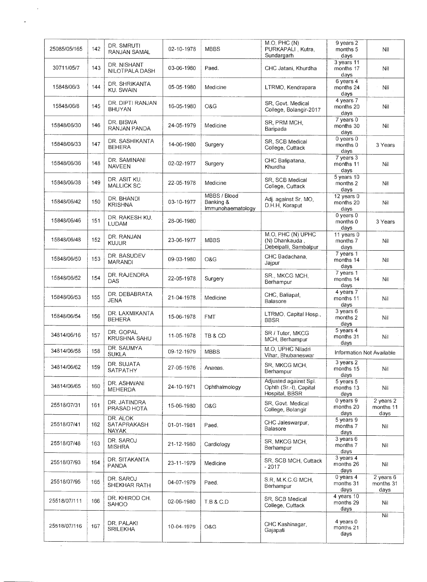| 25085/05/165 | 142 | DR. SMRUTI<br>RANJAN SAMAL              | 02-10-1978 | <b>MBBS</b>                                    | M.O, PHC(N)<br>PURKAPALI, Kutra,<br>Sundargarh                    | 9 years 2<br>months 5<br>days      | Nil                                |
|--------------|-----|-----------------------------------------|------------|------------------------------------------------|-------------------------------------------------------------------|------------------------------------|------------------------------------|
| 30711/05/7   | 143 | DR. NISHANT<br>NILOTPALA DASH           | 03-06-1980 | Paed.                                          | CHC Jatani, Khurdha                                               | 3 years 11<br>months 17<br>days    | Nil                                |
| 15848/06/3   | 144 | DR. SHRIKANTA<br>KU. SWAIN              | 05-05-1980 | Medicine                                       | LTRMO, Kendrapara                                                 | 6 years 4<br>months 24<br>days     | Nil                                |
| 15848/06/8   | 145 | DR. DIPTI RANJAN<br><b>BHUYAN</b>       | 16-05-1980 | O&G                                            | SR, Govt. Medical<br>College, Bolangir-2017                       | 4 years 7<br>months 20<br>days     | Nil                                |
| 15848/06/30  | 146 | DR. BISWA<br>RANJAN PANDA               | 24-05-1979 | Medicine                                       | SR, PRM MCH,<br>Baripada                                          | 7 years 0<br>months 30<br>days     | Nil                                |
| 15848/06/33  | 147 | DR. SASHIKANTA<br><b>BEHERA</b>         | 14-06-1980 | Surgery                                        | SR, SCB Medical<br>College, Cuttack                               | $0$ years $0$<br>months 0<br>days  | 3 Years                            |
| 15848/06/36  | 148 | DR. SAMINANI<br><b>NAVEEN</b>           | 02-02-1977 | Surgery                                        | CHC Balipatana,<br>Khurdha                                        | 7 years 3<br>months 11<br>days     | Nil                                |
| 15848/06/38  | 149 | DR. ASIT KU.<br>MALLICK SC              | 22-05-1978 | Medicine                                       | SR, SCB Medical<br>College, Cuttack                               | $5$ years $10$<br>months 2<br>days | Nil                                |
| 15848/06/42  | 150 | DR. BHANDI<br><b>KRISHNA</b>            | 03-10-1977 | MBBS / Blood<br>Banking &<br>Immunohaematology | Adj. against Sr. MO,<br>D.H.H, Koraput                            | 12 years 0<br>months 20<br>days    | Nil                                |
| 15848/06/46  | 151 | DR. RAKESH KU.<br><b>LUDAM</b>          | 28-06-1980 |                                                |                                                                   | $0$ years $0$<br>months 0<br>days  | 3 Years                            |
| 15848/06/48  | 152 | DR. RANJAN<br>KUJUR                     | 23-06-1977 | <b>MBBS</b>                                    | M.O, PHC (N) UPHC<br>(N) Dhankauda,<br>Debeipalli, Sambalpur      | 11 years 0<br>months 7<br>days     | Nil                                |
| 15848/06/50  | 153 | DR. BASUDEV<br><b>MARANDI</b>           | 09-03-1980 | O&G                                            | CHC Badachana,<br>Jajpur                                          | 7 years 1<br>months 14<br>days     | Nil                                |
| 15848/06/52  | 154 | DR. RAJENDRA<br>DAS                     | 22-05-1978 | Surgery                                        | SR., MKCG MCH,<br>Berhampur                                       | $7$ years 1<br>months 14<br>days   | Nil                                |
| 15848/06/53  | 155 | DR. DEBABRATA<br><b>JENA</b>            | 21-04-1978 | Medicine                                       | CHC, Baliapal,<br>Balasore                                        | 4 years 7<br>months 11<br>days     | Nil                                |
| 15848/06/54  | 156 | DR. LAXMIKANTA<br><b>BEHERA</b>         | 15-06-1978 | <b>FMT</b>                                     | LTRMO, Capital Hosp.,<br><b>BBSR</b>                              | 3 years 6<br>months 2<br>days      | Nil                                |
| 34814/06/16  | 157 | DR. GOPAL<br>KRUSHNA SAHU               | 11-05-1978 | TB & CD                                        | SR / Tutor, MKCG<br>MCH, Berhampur                                | 5 years 4<br>months 31<br>days     | Nil                                |
| 34814/06/58  | 158 | DR. SAUMYA<br><b>SUKLA</b>              | 09-12-1979 | <b>MBBS</b>                                    | M.O, UPHC Niladri<br>Vihar, Bhubaneswar                           | Information Not Available          |                                    |
| 34814/06/62  | 159 | DR. SUJATA<br>SATPATHY                  | 27-05-1976 | Anaeas.                                        | SR, MKCG MCH,<br>Berhampur                                        | 3 years 2<br>months 15<br>days     | Nil                                |
| 34814/06/65  | 160 | DR. ASHWANI<br>MEHERDA                  | 24-10-1971 | Ophthalmology                                  | Adjusted against Spl.<br>Ophth (Sr.-I), Capital<br>Hospital, BBSR | 5 years 5<br>months 13<br>days     | Nil                                |
| 25518/07/31  | 161 | DR. JATINDRA<br>PRASAD HOTA             | 15-06-1980 | O&G                                            | SR, Govt. Medical<br>College, Bolangir                            | $0$ years $9$<br>months 20<br>days | 2 years 2<br>months 11<br>days     |
| 25518/07/41  | 162 | DR. ALOK<br>SATAPRAKASH<br><b>NAYAK</b> | 01-01-1981 | Paed.                                          | CHC Jaleswarpur,<br>Balasore                                      | 5 years 9<br>months 7<br>days      | Nil                                |
| 25518/07/48  | 163 | DR. SAROJ<br><b>MISHRA</b>              | 21-12-1980 | Cardiology                                     | SR, MKCG MCH,<br>Berhampur                                        | $3$ years 6<br>months 7<br>days    | Nil                                |
| 25518/07/93  | 164 | DR. SITAKANTA<br><b>PANDA</b>           | 23-11-1979 | Medicine                                       | SR, SCB MCH, Cuttack<br>- 2017                                    | 3 years 4<br>months 26<br>days     | Nil                                |
| 25518/07/95  | 165 | DR. SAROJ<br>SHEKHAR RATH               | 04-07-1979 | Paed.                                          | S.R, M.K.C.G MCH,<br>Berhampur                                    | $0$ years $4$<br>months 31<br>days | $2$ years $6$<br>months 31<br>days |
| 25518/07/111 | 166 | DR. KHIROD CH.<br><b>SAHOO</b>          | 02-06-1980 | <b>T.B &amp; C.D</b>                           | SR, SCB Medical<br>College, Cuttack                               | 4 years 10<br>months 29<br>days    | Nil                                |
| 25518/07/116 | 167 | DR. PALAKI<br>SRILEKHA                  | 10-04-1979 | O&G                                            | CHC Kashinagar,<br>Gajapati                                       | 4 years 0<br>months 21<br>days     | $\overline{N}$                     |

 $\mathcal{L}_{\text{eff}}$  $\frac{1}{2}$